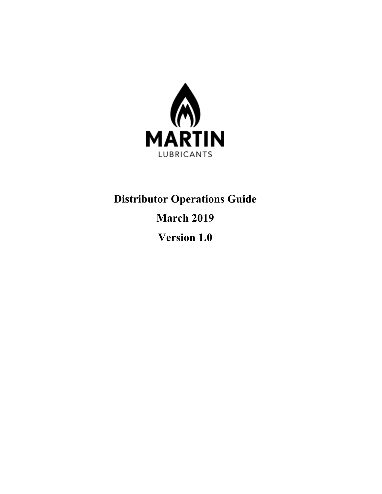

# **Distributor Operations Guide March 2019 Version 1.0**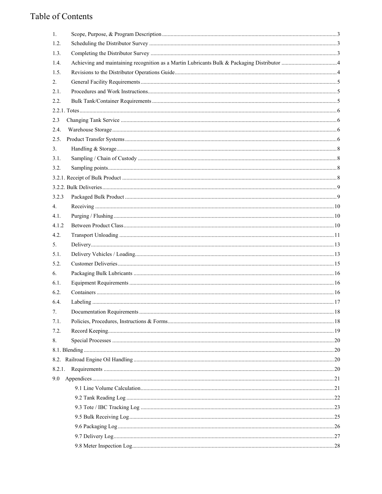# Table of Contents

| 1.     |  |
|--------|--|
| 1.2.   |  |
| 1.3.   |  |
| 1.4.   |  |
| 1.5.   |  |
| 2.     |  |
| 2.1.   |  |
| 2.2.   |  |
|        |  |
| 2.3    |  |
| 2.4.   |  |
| 2.5.   |  |
| 3.     |  |
| 3.1.   |  |
| 3.2.   |  |
|        |  |
|        |  |
| 3.2.3  |  |
| 4.     |  |
| 4.1.   |  |
| 4.1.2  |  |
| 4.2.   |  |
| 5.     |  |
| 5.1.   |  |
| 5.2.   |  |
| 6.     |  |
| 6.1.   |  |
| 6.2.   |  |
| 6.4.   |  |
| 7.     |  |
| 7.1.   |  |
| 7.2.   |  |
| 8.     |  |
|        |  |
|        |  |
| 8.2.1. |  |
|        |  |
|        |  |
|        |  |
|        |  |
|        |  |
|        |  |
|        |  |
|        |  |
|        |  |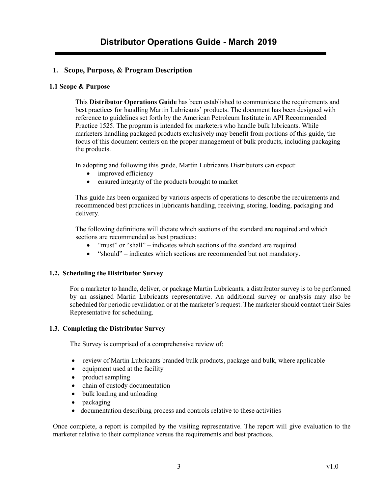#### <span id="page-2-0"></span>**1. Scope, Purpose, & Program Description**

#### **1.1 Scope & Purpose**

This **Distributor Operations Guide** has been established to communicate the requirements and best practices for handling Martin Lubricants' products. The document has been designed with reference to guidelines set forth by the American Petroleum Institute in API Recommended Practice 1525. The program is intended for marketers who handle bulk lubricants. While marketers handling packaged products exclusively may benefit from portions of this guide, the focus of this document centers on the proper management of bulk products, including packaging the products.

In adopting and following this guide, Martin Lubricants Distributors can expect:

- improved efficiency
- ensured integrity of the products brought to market

This guide has been organized by various aspects of operations to describe the requirements and recommended best practices in lubricants handling, receiving, storing, loading, packaging and delivery.

The following definitions will dictate which sections of the standard are required and which sections are recommended as best practices:

- "must" or "shall" indicates which sections of the standard are required.
- "should" indicates which sections are recommended but not mandatory.

#### <span id="page-2-1"></span>**1.2. Scheduling the Distributor Survey**

For a marketer to handle, deliver, or package Martin Lubricants, a distributor survey is to be performed by an assigned Martin Lubricants representative. An additional survey or analysis may also be scheduled for periodic revalidation or at the marketer's request. The marketer should contact their Sales Representative for scheduling.

#### <span id="page-2-2"></span>**1.3. Completing the Distributor Survey**

The Survey is comprised of a comprehensive review of:

- review of Martin Lubricants branded bulk products, package and bulk, where applicable
- equipment used at the facility
- product sampling
- chain of custody documentation
- bulk loading and unloading
- packaging
- documentation describing process and controls relative to these activities

Once complete, a report is compiled by the visiting representative. The report will give evaluation to the marketer relative to their compliance versus the requirements and best practices.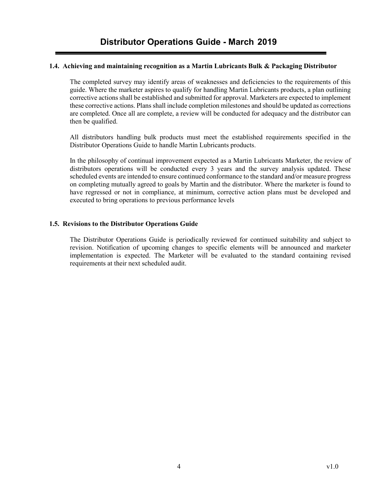#### <span id="page-3-0"></span>**1.4. Achieving and maintaining recognition as a Martin Lubricants Bulk & Packaging Distributor**

The completed survey may identify areas of weaknesses and deficiencies to the requirements of this guide. Where the marketer aspires to qualify for handling Martin Lubricants products, a plan outlining corrective actions shall be established and submitted for approval. Marketers are expected to implement these corrective actions. Plans shall include completion milestones and should be updated as corrections are completed. Once all are complete, a review will be conducted for adequacy and the distributor can then be qualified.

All distributors handling bulk products must meet the established requirements specified in the Distributor Operations Guide to handle Martin Lubricants products.

In the philosophy of continual improvement expected as a Martin Lubricants Marketer, the review of distributors operations will be conducted every 3 years and the survey analysis updated. These scheduled events are intended to ensure continued conformance to the standard and/or measure progress on completing mutually agreed to goals by Martin and the distributor. Where the marketer is found to have regressed or not in compliance, at minimum, corrective action plans must be developed and executed to bring operations to previous performance levels

#### <span id="page-3-1"></span>**1.5. Revisions to the Distributor Operations Guide**

The Distributor Operations Guide is periodically reviewed for continued suitability and subject to revision. Notification of upcoming changes to specific elements will be announced and marketer implementation is expected. The Marketer will be evaluated to the standard containing revised requirements at their next scheduled audit.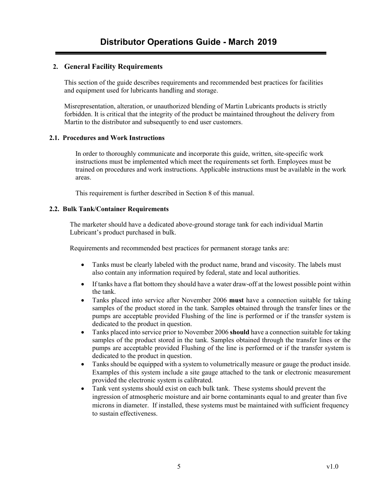#### <span id="page-4-0"></span>**2. General Facility Requirements**

This section of the guide describes requirements and recommended best practices for facilities and equipment used for lubricants handling and storage.

Misrepresentation, alteration, or unauthorized blending of Martin Lubricants products is strictly forbidden. It is critical that the integrity of the product be maintained throughout the delivery from Martin to the distributor and subsequently to end user customers.

#### <span id="page-4-1"></span>**2.1. Procedures and Work Instructions**

In order to thoroughly communicate and incorporate this guide, written, site-specific work instructions must be implemented which meet the requirements set forth. Employees must be trained on procedures and work instructions. Applicable instructions must be available in the work areas.

This requirement is further described in Section 8 of this manual.

#### <span id="page-4-2"></span>**2.2. Bulk Tank/Container Requirements**

The marketer should have a dedicated above-ground storage tank for each individual Martin Lubricant's product purchased in bulk.

Requirements and recommended best practices for permanent storage tanks are:

- Tanks must be clearly labeled with the product name, brand and viscosity. The labels must also contain any information required by federal, state and local authorities.
- If tanks have a flat bottom they should have a water draw-off at the lowest possible point within the tank.
- Tanks placed into service after November 2006 **must** have a connection suitable for taking samples of the product stored in the tank. Samples obtained through the transfer lines or the pumps are acceptable provided Flushing of the line is performed or if the transfer system is dedicated to the product in question.
- Tanks placed into service prior to November 2006 **should** have a connection suitable for taking samples of the product stored in the tank. Samples obtained through the transfer lines or the pumps are acceptable provided Flushing of the line is performed or if the transfer system is dedicated to the product in question.
- Tanks should be equipped with a system to volumetrically measure or gauge the product inside. Examples of this system include a site gauge attached to the tank or electronic measurement provided the electronic system is calibrated.
- Tank vent systems should exist on each bulk tank. These systems should prevent the ingression of atmospheric moisture and air borne contaminants equal to and greater than five microns in diameter. If installed, these systems must be maintained with sufficient frequency to sustain effectiveness.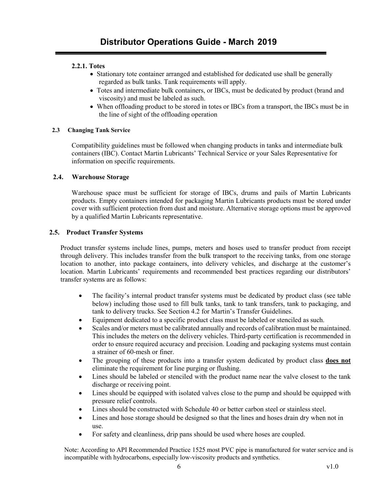#### <span id="page-5-0"></span>**2.2.1. Totes**

- Stationary tote container arranged and established for dedicated use shall be generally regarded as bulk tanks. Tank requirements will apply.
- Totes and intermediate bulk containers, or IBCs, must be dedicated by product (brand and viscosity) and must be labeled as such.
- When offloading product to be stored in totes or IBCs from a transport, the IBCs must be in the line of sight of the offloading operation

#### <span id="page-5-1"></span>**2.3 Changing Tank Service**

Compatibility guidelines must be followed when changing products in tanks and intermediate bulk containers (IBC). Contact Martin Lubricants' Technical Service or your Sales Representative for information on specific requirements.

#### <span id="page-5-2"></span>**2.4. Warehouse Storage**

Warehouse space must be sufficient for storage of IBCs, drums and pails of Martin Lubricants products. Empty containers intended for packaging Martin Lubricants products must be stored under cover with sufficient protection from dust and moisture. Alternative storage options must be approved by a qualified Martin Lubricants representative.

#### <span id="page-5-3"></span>**2.5. Product Transfer Systems**

Product transfer systems include lines, pumps, meters and hoses used to transfer product from receipt through delivery. This includes transfer from the bulk transport to the receiving tanks, from one storage location to another, into package containers, into delivery vehicles, and discharge at the customer's location. Martin Lubricants' requirements and recommended best practices regarding our distributors' transfer systems are as follows:

- The facility's internal product transfer systems must be dedicated by product class (see table below) including those used to fill bulk tanks, tank to tank transfers, tank to packaging, and tank to delivery trucks. See Section 4.2 for Martin's Transfer Guidelines.
- Equipment dedicated to a specific product class must be labeled or stenciled as such.
- Scales and/or meters must be calibrated annually and records of calibration must be maintained. This includes the meters on the delivery vehicles. Third-party certification is recommended in order to ensure required accuracy and precision. Loading and packaging systems must contain a strainer of 60-mesh or finer.
- The grouping of these products into a transfer system dedicated by product class **does not** eliminate the requirement for line purging or flushing.
- Lines should be labeled or stenciled with the product name near the valve closest to the tank discharge or receiving point.
- Lines should be equipped with isolated valves close to the pump and should be equipped with pressure relief controls.
- Lines should be constructed with Schedule 40 or better carbon steel or stainless steel.
- Lines and hose storage should be designed so that the lines and hoses drain dry when not in use.
- For safety and cleanliness, drip pans should be used where hoses are coupled.

Note: According to API Recommended Practice 1525 most PVC pipe is manufactured for water service and is incompatible with hydrocarbons, especially low-viscosity products and synthetics.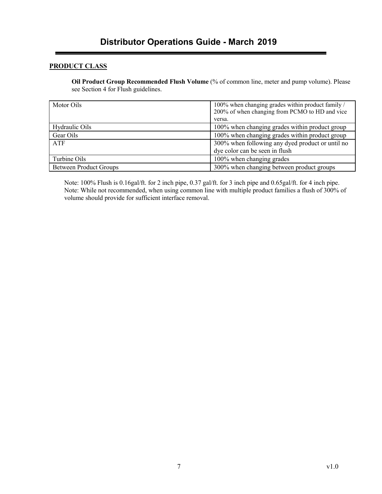#### **PRODUCT CLASS**

**Oil Product Group Recommended Flush Volume** (% of common line, meter and pump volume). Please see Section 4 for Flush guidelines.

| Motor Oils                    | 100% when changing grades within product family /<br>200% of when changing from PCMO to HD and vice<br>versa. |
|-------------------------------|---------------------------------------------------------------------------------------------------------------|
| Hydraulic Oils                | 100% when changing grades within product group                                                                |
| Gear Oils                     | 100% when changing grades within product group                                                                |
| ATF                           | 300% when following any dyed product or until no<br>dye color can be seen in flush                            |
| Turbine Oils                  | 100% when changing grades                                                                                     |
| <b>Between Product Groups</b> | 300% when changing between product groups                                                                     |

Note: 100% Flush is 0.16gal/ft. for 2 inch pipe, 0.37 gal/ft. for 3 inch pipe and 0.65gal/ft. for 4 inch pipe. Note: While not recommended, when using common line with multiple product families a flush of 300% of volume should provide for sufficient interface removal.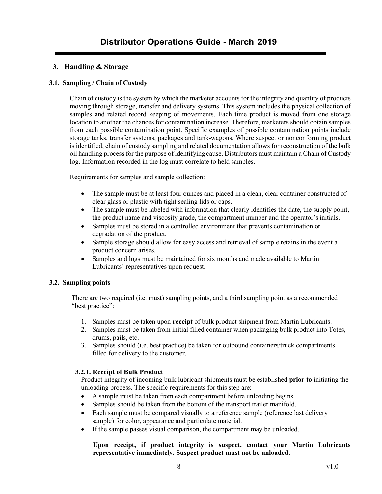#### <span id="page-7-0"></span>**3. Handling & Storage**

#### <span id="page-7-1"></span>**3.1. Sampling / Chain of Custody**

Chain of custody is the system by which the marketer accounts for the integrity and quantity of products moving through storage, transfer and delivery systems. This system includes the physical collection of samples and related record keeping of movements. Each time product is moved from one storage location to another the chances for contamination increase. Therefore, marketers should obtain samples from each possible contamination point. Specific examples of possible contamination points include storage tanks, transfer systems, packages and tank-wagons. Where suspect or nonconforming product is identified, chain of custody sampling and related documentation allows for reconstruction of the bulk oil handling process for the purpose of identifying cause. Distributors must maintain a Chain of Custody log. Information recorded in the log must correlate to held samples.

Requirements for samples and sample collection:

- The sample must be at least four ounces and placed in a clean, clear container constructed of clear glass or plastic with tight sealing lids or caps.
- The sample must be labeled with information that clearly identifies the date, the supply point, the product name and viscosity grade, the compartment number and the operator'sinitials.
- Samples must be stored in a controlled environment that prevents contamination or degradation of the product.
- Sample storage should allow for easy access and retrieval of sample retains in the event a product concern arises.
- Samples and logs must be maintained for six months and made available to Martin Lubricants' representatives upon request.

#### <span id="page-7-2"></span>**3.2. Sampling points**

There are two required (i.e. must) sampling points, and a third sampling point as a recommended "best practice":

- 1. Samples must be taken upon **receipt** of bulk product shipment from Martin Lubricants.
- 2. Samples must be taken from initial filled container when packaging bulk product into Totes, drums, pails, etc.
- 3. Samples should (i.e. best practice) be taken for outbound containers/truck compartments filled for delivery to the customer.

#### <span id="page-7-3"></span>**3.2.1. Receipt of Bulk Product**

Product integrity of incoming bulk lubricant shipments must be established **prior to** initiating the unloading process. The specific requirements for this step are:

- A sample must be taken from each compartment before unloading begins.
- Samples should be taken from the bottom of the transport trailer manifold.
- Each sample must be compared visually to a reference sample (reference last delivery sample) for color, appearance and particulate material.
- If the sample passes visual comparison, the compartment may be unloaded.

#### **Upon receipt, if product integrity is suspect, contact your Martin Lubricants representative immediately. Suspect product must not be unloaded.**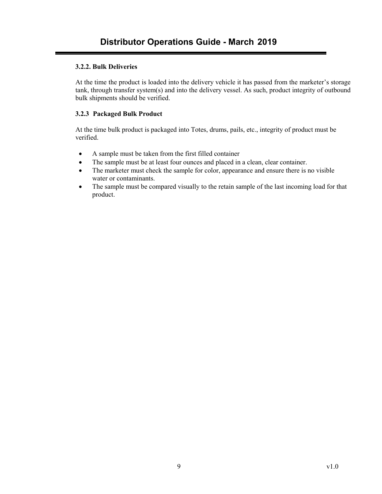#### <span id="page-8-0"></span>**3.2.2. Bulk Deliveries**

At the time the product is loaded into the delivery vehicle it has passed from the marketer's storage tank, through transfer system(s) and into the delivery vessel. As such, product integrity of outbound bulk shipments should be verified.

#### <span id="page-8-1"></span>**3.2.3 Packaged Bulk Product**

At the time bulk product is packaged into Totes, drums, pails, etc., integrity of product must be verified.

- A sample must be taken from the first filled container
- The sample must be at least four ounces and placed in a clean, clear container.
- The marketer must check the sample for color, appearance and ensure there is no visible water or contaminants.
- The sample must be compared visually to the retain sample of the last incoming load for that product.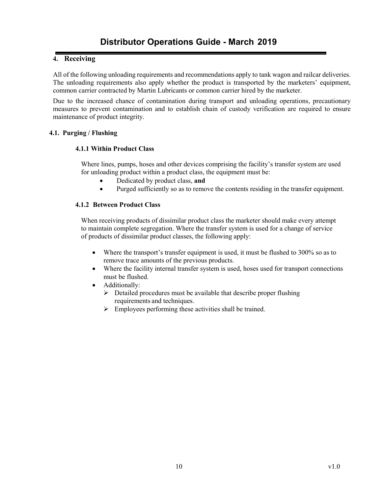#### <span id="page-9-0"></span>**4. Receiving**

All of the following unloading requirements and recommendations apply to tank wagon and railcar deliveries. The unloading requirements also apply whether the product is transported by the marketers' equipment, common carrier contracted by Martin Lubricants or common carrier hired by the marketer.

Due to the increased chance of contamination during transport and unloading operations, precautionary measures to prevent contamination and to establish chain of custody verification are required to ensure maintenance of product integrity.

#### <span id="page-9-1"></span>**4.1. Purging / Flushing**

#### **4.1.1 Within Product Class**

Where lines, pumps, hoses and other devices comprising the facility's transfer system are used for unloading product within a product class, the equipment must be:

- Dedicated by product class, **and**
- Purged sufficiently so as to remove the contents residing in the transfer equipment.

#### <span id="page-9-2"></span>**4.1.2 Between Product Class**

When receiving products of dissimilar product class the marketer should make every attempt to maintain complete segregation. Where the transfer system is used for a change of service of products of dissimilar product classes, the following apply:

- Where the transport's transfer equipment is used, it must be flushed to 300% so as to remove trace amounts of the previous products.
- Where the facility internal transfer system is used, hoses used for transport connections must be flushed.
- Additionally:
	- $\triangleright$  Detailed procedures must be available that describe proper flushing requirements and techniques.
	- $\triangleright$  Employees performing these activities shall be trained.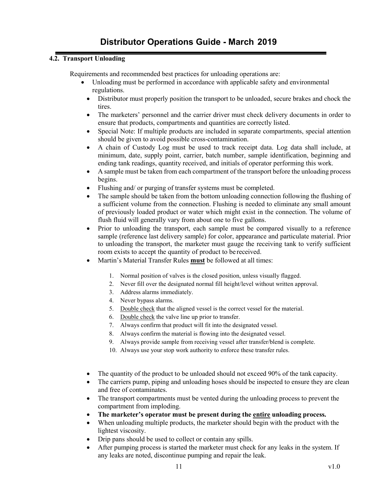#### <span id="page-10-0"></span>**4.2. Transport Unloading**

Requirements and recommended best practices for unloading operations are:

- Unloading must be performed in accordance with applicable safety and environmental regulations.
	- Distributor must properly position the transport to be unloaded, secure brakes and chock the tires.
	- The marketers' personnel and the carrier driver must check delivery documents in order to ensure that products, compartments and quantities are correctly listed.
	- Special Note: If multiple products are included in separate compartments, special attention should be given to avoid possible cross-contamination.
	- A chain of Custody Log must be used to track receipt data. Log data shall include, at minimum, date, supply point, carrier, batch number, sample identification, beginning and ending tank readings, quantity received, and initials of operator performing this work.
	- A sample must be taken from each compartment of the transport before the unloading process begins.
	- Flushing and/ or purging of transfer systems must be completed.
	- The sample should be taken from the bottom unloading connection following the flushing of a sufficient volume from the connection. Flushing is needed to eliminate any small amount of previously loaded product or water which might exist in the connection. The volume of flush fluid will generally vary from about one to five gallons.
	- Prior to unloading the transport, each sample must be compared visually to a reference sample (reference last delivery sample) for color, appearance and particulate material. Prior to unloading the transport, the marketer must gauge the receiving tank to verify sufficient room exists to accept the quantity of product to be received.
	- Martin's Material Transfer Rules **must** be followed at all times:
		- 1. Normal position of valves is the closed position, unless visually flagged.
		- 2. Never fill over the designated normal fill height/level without written approval.
		- 3. Address alarms immediately.
		- 4. Never bypass alarms.
		- 5. Double check that the aligned vessel is the correct vessel for the material.
		- 6. Double check the valve line up prior to transfer.
		- 7. Always confirm that product will fit into the designated vessel.
		- 8. Always confirm the material is flowing into the designated vessel.
		- 9. Always provide sample from receiving vessel after transfer/blend is complete.
		- 10. Always use your stop work authority to enforce these transfer rules.
	- The quantity of the product to be unloaded should not exceed 90% of the tank capacity.
	- The carriers pump, piping and unloading hoses should be inspected to ensure they are clean and free of contaminates.
	- The transport compartments must be vented during the unloading process to prevent the compartment from imploding.
	- **The marketer's operator must be present during the entire unloading process.**
	- When unloading multiple products, the marketer should begin with the product with the lightest viscosity.
	- Drip pans should be used to collect or contain any spills.
	- After pumping process is started the marketer must check for any leaks in the system. If any leaks are noted, discontinue pumping and repair the leak.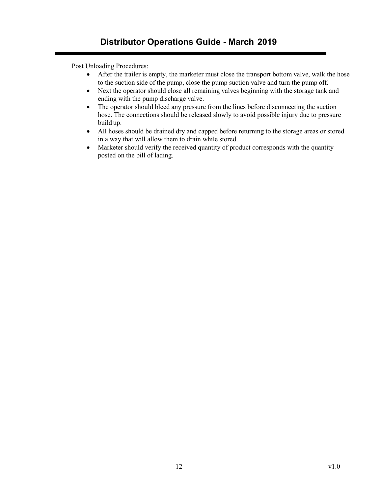Post Unloading Procedures:

- After the trailer is empty, the marketer must close the transport bottom valve, walk the hose to the suction side of the pump, close the pump suction valve and turn the pump off.
- Next the operator should close all remaining valves beginning with the storage tank and ending with the pump discharge valve.
- The operator should bleed any pressure from the lines before disconnecting the suction hose. The connections should be released slowly to avoid possible injury due to pressure build up.
- All hoses should be drained dry and capped before returning to the storage areas or stored in a way that will allow them to drain while stored.
- Marketer should verify the received quantity of product corresponds with the quantity posted on the bill of lading.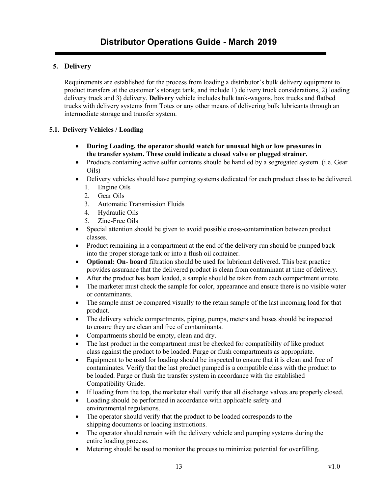#### <span id="page-12-0"></span>**5. Delivery**

Requirements are established for the process from loading a distributor's bulk delivery equipment to product transfers at the customer's storage tank, and include 1) delivery truck considerations, 2) loading delivery truck and 3) delivery. **Delivery** vehicle includes bulk tank-wagons, box trucks and flatbed trucks with delivery systems from Totes or any other means of delivering bulk lubricants through an intermediate storage and transfer system.

#### <span id="page-12-1"></span>**5.1. Delivery Vehicles / Loading**

- **During Loading, the operator should watch for unusual high or low pressures in the transfer system. These could indicate a closed valve or plugged strainer.**
- Products containing active sulfur contents should be handled by a segregated system. (i.e. Gear Oils)
- Delivery vehicles should have pumping systems dedicated for each product class to be delivered.
	- 1. Engine Oils
	- 2. Gear Oils
	- 3. Automatic Transmission Fluids
	- 4. Hydraulic Oils
	- 5. Zinc-Free Oils
- Special attention should be given to avoid possible cross-contamination between product classes.
- Product remaining in a compartment at the end of the delivery run should be pumped back into the proper storage tank or into a flush oil container.
- **Optional: On- board** filtration should be used for lubricant delivered. This best practice provides assurance that the delivered product is clean from contaminant at time of delivery.
- After the product has been loaded, a sample should be taken from each compartment or tote.
- The marketer must check the sample for color, appearance and ensure there is no visible water or contaminants.
- The sample must be compared visually to the retain sample of the last incoming load for that product.
- The delivery vehicle compartments, piping, pumps, meters and hoses should be inspected to ensure they are clean and free of contaminants.
- Compartments should be empty, clean and dry.
- The last product in the compartment must be checked for compatibility of like product class against the product to be loaded. Purge or flush compartments as appropriate.
- Equipment to be used for loading should be inspected to ensure that it is clean and free of contaminates. Verify that the last product pumped is a compatible class with the product to be loaded. Purge or flush the transfer system in accordance with the established Compatibility Guide.
- If loading from the top, the marketer shall verify that all discharge valves are properly closed.
- Loading should be performed in accordance with applicable safety and environmental regulations.
- The operator should verify that the product to be loaded corresponds to the shipping documents or loading instructions.
- The operator should remain with the delivery vehicle and pumping systems during the entire loading process.
- Metering should be used to monitor the process to minimize potential for overfilling.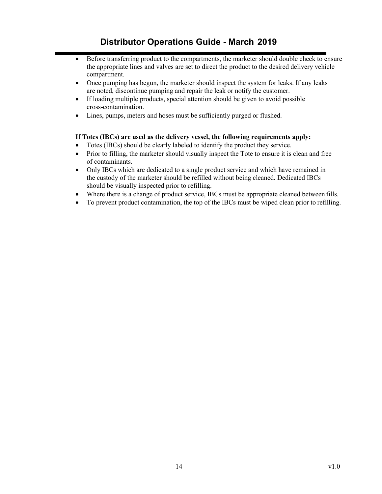### **Distributor Operations Guide - March 2019**

- Before transferring product to the compartments, the marketer should double check to ensure the appropriate lines and valves are set to direct the product to the desired delivery vehicle compartment.
- Once pumping has begun, the marketer should inspect the system for leaks. If any leaks are noted, discontinue pumping and repair the leak or notify the customer.
- If loading multiple products, special attention should be given to avoid possible cross-contamination.
- Lines, pumps, meters and hoses must be sufficiently purged or flushed.

#### **If Totes (IBCs) are used as the delivery vessel, the following requirements apply:**

- Totes (IBCs) should be clearly labeled to identify the product they service.
- Prior to filling, the marketer should visually inspect the Tote to ensure it is clean and free of contaminants.
- Only IBCs which are dedicated to a single product service and which have remained in the custody of the marketer should be refilled without being cleaned. Dedicated IBCs should be visually inspected prior to refilling.
- Where there is a change of product service, IBCs must be appropriate cleaned between fills.
- To prevent product contamination, the top of the IBCs must be wiped clean prior to refilling.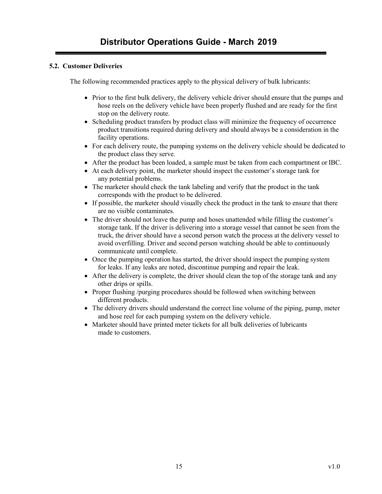#### <span id="page-14-0"></span>**5.2. Customer Deliveries**

The following recommended practices apply to the physical delivery of bulk lubricants:

- Prior to the first bulk delivery, the delivery vehicle driver should ensure that the pumps and hose reels on the delivery vehicle have been properly flushed and are ready for the first stop on the delivery route.
- Scheduling product transfers by product class will minimize the frequency of occurrence product transitions required during delivery and should always be a consideration in the facility operations.
- For each delivery route, the pumping systems on the delivery vehicle should be dedicated to the product class they serve.
- After the product has been loaded, a sample must be taken from each compartment or IBC.
- At each delivery point, the marketer should inspect the customer's storage tank for any potential problems.
- The marketer should check the tank labeling and verify that the product in the tank corresponds with the product to be delivered.
- If possible, the marketer should visually check the product in the tank to ensure that there are no visible contaminates.
- The driver should not leave the pump and hoses unattended while filling the customer's storage tank. If the driver is delivering into a storage vessel that cannot be seen from the truck, the driver should have a second person watch the process at the delivery vessel to avoid overfilling. Driver and second person watching should be able to continuously communicate until complete.
- Once the pumping operation has started, the driver should inspect the pumping system for leaks. If any leaks are noted, discontinue pumping and repair the leak.
- After the delivery is complete, the driver should clean the top of the storage tank and any other drips or spills.
- Proper flushing /purging procedures should be followed when switching between different products.
- The delivery drivers should understand the correct line volume of the piping, pump, meter and hose reel for each pumping system on the delivery vehicle.
- Marketer should have printed meter tickets for all bulk deliveries of lubricants made to customers.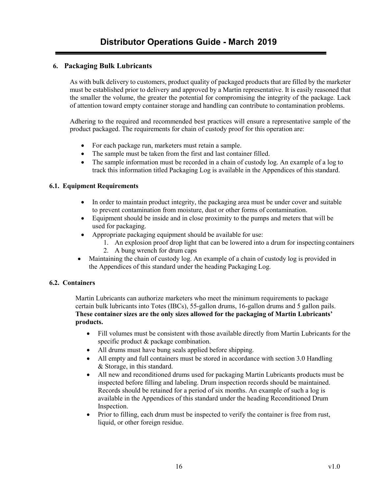#### <span id="page-15-0"></span>**6. Packaging Bulk Lubricants**

As with bulk delivery to customers, product quality of packaged products that are filled by the marketer must be established prior to delivery and approved by a Martin representative. It is easily reasoned that the smaller the volume, the greater the potential for compromising the integrity of the package. Lack of attention toward empty container storage and handling can contribute to contamination problems.

Adhering to the required and recommended best practices will ensure a representative sample of the product packaged. The requirements for chain of custody proof for this operation are:

- For each package run, marketers must retain a sample.
- The sample must be taken from the first and last container filled.
- The sample information must be recorded in a chain of custody log. An example of a log to track this information titled Packaging Log is available in the Appendices of this standard.

#### <span id="page-15-1"></span>**6.1. Equipment Requirements**

- In order to maintain product integrity, the packaging area must be under cover and suitable to prevent contamination from moisture, dust or other forms of contamination.
- Equipment should be inside and in close proximity to the pumps and meters that will be used for packaging.
- Appropriate packaging equipment should be available for use:
	- 1. An explosion proof drop light that can be lowered into a drum for inspecting containers 2. A bung wrench for drum caps
- Maintaining the chain of custody log. An example of a chain of custody log is provided in
	- the Appendices of this standard under the heading Packaging Log.

#### <span id="page-15-2"></span>**6.2. Containers**

Martin Lubricants can authorize marketers who meet the minimum requirements to package certain bulk lubricants into Totes (IBCs), 55-gallon drums, 16-gallon drums and 5 gallon pails. **These container sizes are the only sizes allowed for the packaging of Martin Lubricants' products.**

- Fill volumes must be consistent with those available directly from Martin Lubricants for the specific product & package combination.
- All drums must have bung seals applied before shipping.
- All empty and full containers must be stored in accordance with section 3.0 Handling & Storage, in this standard.
- All new and reconditioned drums used for packaging Martin Lubricants products must be inspected before filling and labeling. Drum inspection records should be maintained. Records should be retained for a period of six months. An example of such a log is available in the Appendices of this standard under the heading Reconditioned Drum Inspection.
- Prior to filling, each drum must be inspected to verify the container is free from rust, liquid, or other foreign residue.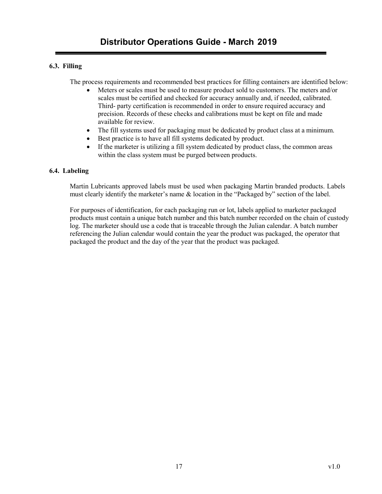#### **6.3. Filling**

The process requirements and recommended best practices for filling containers are identified below:

- Meters or scales must be used to measure product sold to customers. The meters and/or scales must be certified and checked for accuracy annually and, if needed, calibrated. Third- party certification is recommended in order to ensure required accuracy and precision. Records of these checks and calibrations must be kept on file and made available for review.
- The fill systems used for packaging must be dedicated by product class at a minimum.
- Best practice is to have all fill systems dedicated by product.
- If the marketer is utilizing a fill system dedicated by product class, the common areas within the class system must be purged between products.

#### <span id="page-16-0"></span>**6.4. Labeling**

Martin Lubricants approved labels must be used when packaging Martin branded products. Labels must clearly identify the marketer's name & location in the "Packaged by" section of the label.

For purposes of identification, for each packaging run or lot, labels applied to marketer packaged products must contain a unique batch number and this batch number recorded on the chain of custody log. The marketer should use a code that is traceable through the Julian calendar. A batch number referencing the Julian calendar would contain the year the product was packaged, the operator that packaged the product and the day of the year that the product was packaged.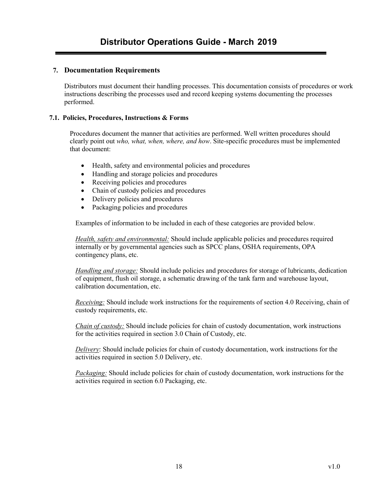#### <span id="page-17-0"></span>**7. Documentation Requirements**

Distributors must document their handling processes. This documentation consists of procedures or work instructions describing the processes used and record keeping systems documenting the processes performed.

#### <span id="page-17-1"></span>**7.1. Policies, Procedures, Instructions & Forms**

Procedures document the manner that activities are performed. Well written procedures should clearly point out *who, what, when, where, and how*. Site-specific procedures must be implemented that document:

- Health, safety and environmental policies and procedures
- Handling and storage policies and procedures
- Receiving policies and procedures
- Chain of custody policies and procedures
- Delivery policies and procedures
- Packaging policies and procedures

Examples of information to be included in each of these categories are provided below.

*Health, safety and environmental:* Should include applicable policies and procedures required internally or by governmental agencies such as SPCC plans, OSHA requirements, OPA contingency plans, etc.

*Handling and storage:* Should include policies and procedures for storage of lubricants, dedication of equipment, flush oil storage, a schematic drawing of the tank farm and warehouse layout, calibration documentation, etc.

*Receiving:* Should include work instructions for the requirements of section 4.0 Receiving, chain of custody requirements, etc.

*Chain of custody:* Should include policies for chain of custody documentation, work instructions for the activities required in section 3.0 Chain of Custody, etc.

*Delivery*: Should include policies for chain of custody documentation, work instructions for the activities required in section 5.0 Delivery, etc.

*Packaging:* Should include policies for chain of custody documentation, work instructions for the activities required in section 6.0 Packaging, etc.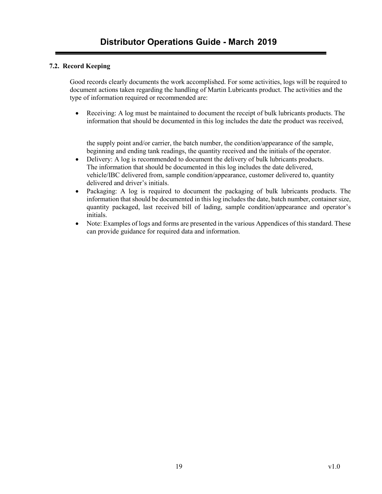#### <span id="page-18-0"></span>**7.2. Record Keeping**

Good records clearly documents the work accomplished. For some activities, logs will be required to document actions taken regarding the handling of Martin Lubricants product. The activities and the type of information required or recommended are:

• Receiving: A log must be maintained to document the receipt of bulk lubricants products. The information that should be documented in this log includes the date the product was received,

the supply point and/or carrier, the batch number, the condition/appearance of the sample, beginning and ending tank readings, the quantity received and the initials of the operator.

- Delivery: A log is recommended to document the delivery of bulk lubricants products. The information that should be documented in this log includes the date delivered, vehicle/IBC delivered from, sample condition/appearance, customer delivered to, quantity delivered and driver's initials.
- Packaging: A log is required to document the packaging of bulk lubricants products. The information that should be documented in this log includes the date, batch number, container size, quantity packaged, last received bill of lading, sample condition/appearance and operator's initials.
- Note: Examples of logs and forms are presented in the various Appendices of this standard. These can provide guidance for required data and information.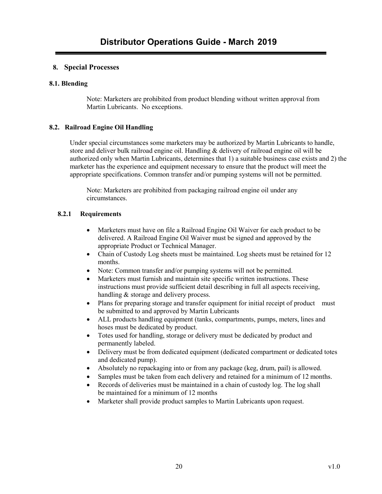#### <span id="page-19-0"></span>**8. Special Processes**

#### <span id="page-19-1"></span>**8.1. Blending**

Note: Marketers are prohibited from product blending without written approval from Martin Lubricants. No exceptions.

#### <span id="page-19-2"></span>**8.2. Railroad Engine Oil Handling**

Under special circumstances some marketers may be authorized by Martin Lubricants to handle, store and deliver bulk railroad engine oil. Handling & delivery of railroad engine oil will be authorized only when Martin Lubricants, determines that 1) a suitable business case exists and 2) the marketer has the experience and equipment necessary to ensure that the product will meet the appropriate specifications. Common transfer and/or pumping systems will not be permitted.

Note: Marketers are prohibited from packaging railroad engine oil under any circumstances.

#### <span id="page-19-3"></span>**8.2.1 Requirements**

- Marketers must have on file a Railroad Engine Oil Waiver for each product to be delivered. A Railroad Engine Oil Waiver must be signed and approved by the appropriate Product or Technical Manager.
- Chain of Custody Log sheets must be maintained. Log sheets must be retained for 12 months.
- Note: Common transfer and/or pumping systems will not be permitted.
- Marketers must furnish and maintain site specific written instructions. These instructions must provide sufficient detail describing in full all aspects receiving, handling & storage and delivery process.
- Plans for preparing storage and transfer equipment for initial receipt of product must be submitted to and approved by Martin Lubricants
- ALL products handling equipment (tanks, compartments, pumps, meters, lines and hoses must be dedicated by product.
- Totes used for handling, storage or delivery must be dedicated by product and permanently labeled.
- Delivery must be from dedicated equipment (dedicated compartment or dedicated totes and dedicated pump).
- Absolutely no repackaging into or from any package (keg, drum, pail) is allowed.
- Samples must be taken from each delivery and retained for a minimum of 12 months.
- Records of deliveries must be maintained in a chain of custody log. The log shall be maintained for a minimum of 12 months
- Marketer shall provide product samples to Martin Lubricants upon request.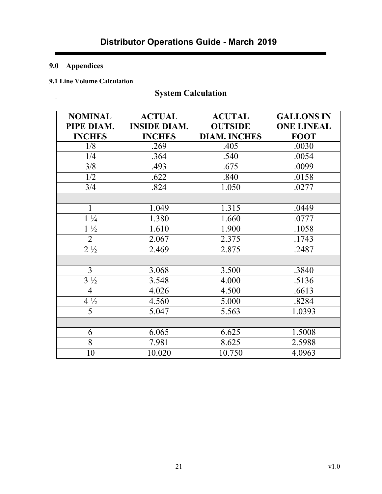### <span id="page-20-0"></span>**9.0 Appendices**

 $\epsilon$ 

### <span id="page-20-1"></span>**9.1 Line Volume Calculation**

# **System Calculation**

| <b>NOMINAL</b> | <b>ACTUAL</b>       | <b>ACUTAL</b>       | <b>GALLONS IN</b> |
|----------------|---------------------|---------------------|-------------------|
| PIPE DIAM.     | <b>INSIDE DIAM.</b> | <b>OUTSIDE</b>      | <b>ONE LINEAL</b> |
| <b>INCHES</b>  | <b>INCHES</b>       | <b>DIAM. INCHES</b> | <b>FOOT</b>       |
| 1/8            | .269                | .405                | .0030             |
| 1/4            | .364                | .540                | .0054             |
| 3/8            | .493                | .675                | .0099             |
| 1/2            | .622                | .840                | .0158             |
| 3/4            | .824                | 1.050               | .0277             |
|                |                     |                     |                   |
| $\mathbf{1}$   | 1.049               | 1.315               | .0449             |
| $1\frac{1}{4}$ | 1.380               | 1.660               | .0777             |
| $1\frac{1}{2}$ | 1.610               | 1.900               | .1058             |
| $\overline{2}$ | 2.067               | 2.375               | .1743             |
| $2\frac{1}{2}$ | 2.469               | 2.875               | .2487             |
|                |                     |                     |                   |
| $\overline{3}$ | 3.068               | 3.500               | .3840             |
| $3\frac{1}{2}$ | 3.548               | 4.000               | .5136             |
| $\overline{4}$ | 4.026               | 4.500               | .6613             |
| $4\frac{1}{2}$ | 4.560               | 5.000               | .8284             |
| 5              | 5.047               | 5.563               | 1.0393            |
|                |                     |                     |                   |
| 6              | 6.065               | 6.625               | 1.5008            |
| 8              | 7.981               | 8.625               | 2.5988            |
| 10             | 10.020              | 10.750              | 4.0963            |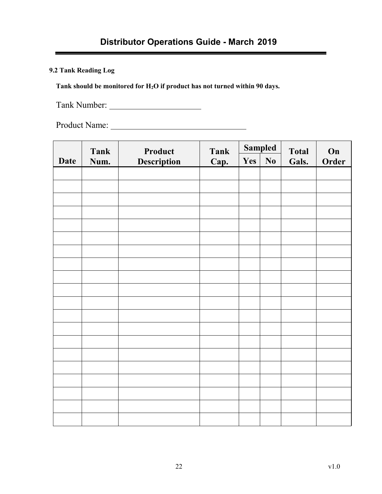# **Distributor Operations Guide - March 2019**

<span id="page-21-0"></span>**9.2 Tank Reading Log**

**Tank should be monitored for H2O if product has not turned within 90 days.**

Tank Number:

Product Name:

|             | <b>Tank</b> | Product     | <b>Tank</b> | <b>Sampled</b> |    | <b>Total</b> | On    |
|-------------|-------------|-------------|-------------|----------------|----|--------------|-------|
| <b>Date</b> | Num.        | Description | Cap.        | Yes            | No | Gals.        | Order |
|             |             |             |             |                |    |              |       |
|             |             |             |             |                |    |              |       |
|             |             |             |             |                |    |              |       |
|             |             |             |             |                |    |              |       |
|             |             |             |             |                |    |              |       |
|             |             |             |             |                |    |              |       |
|             |             |             |             |                |    |              |       |
|             |             |             |             |                |    |              |       |
|             |             |             |             |                |    |              |       |
|             |             |             |             |                |    |              |       |
|             |             |             |             |                |    |              |       |
|             |             |             |             |                |    |              |       |
|             |             |             |             |                |    |              |       |
|             |             |             |             |                |    |              |       |
|             |             |             |             |                |    |              |       |
|             |             |             |             |                |    |              |       |
|             |             |             |             |                |    |              |       |
|             |             |             |             |                |    |              |       |
|             |             |             |             |                |    |              |       |
|             |             |             |             |                |    |              |       |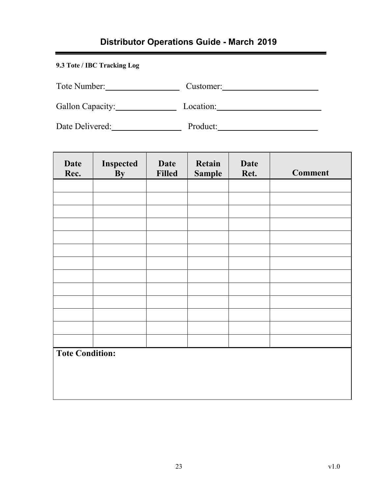# **Distributor Operations Guide - March 2019**

### <span id="page-22-0"></span>**9.3 Tote / IBC Tracking Log**

| Tote Number: | . ustomer: |
|--------------|------------|
|--------------|------------|

Gallon Capacity: Location: Location:

Date Delivered: Product: Product:

| <b>Date</b><br>Rec.    | Inspected<br><b>By</b> | <b>Date</b><br><b>Filled</b> | Retain<br><b>Sample</b> | <b>Date</b><br>Ret. | <b>Comment</b> |
|------------------------|------------------------|------------------------------|-------------------------|---------------------|----------------|
|                        |                        |                              |                         |                     |                |
|                        |                        |                              |                         |                     |                |
|                        |                        |                              |                         |                     |                |
|                        |                        |                              |                         |                     |                |
|                        |                        |                              |                         |                     |                |
|                        |                        |                              |                         |                     |                |
|                        |                        |                              |                         |                     |                |
|                        |                        |                              |                         |                     |                |
|                        |                        |                              |                         |                     |                |
|                        |                        |                              |                         |                     |                |
|                        |                        |                              |                         |                     |                |
|                        |                        |                              |                         |                     |                |
|                        |                        |                              |                         |                     |                |
| <b>Tote Condition:</b> |                        |                              |                         |                     |                |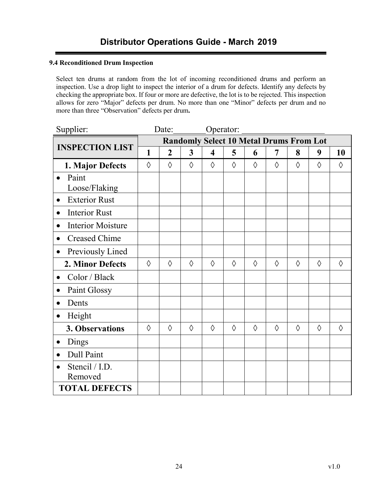#### **9.4 Reconditioned Drum Inspection**

Select ten drums at random from the lot of incoming reconditioned drums and perform an inspection. Use a drop light to inspect the interior of a drum for defects. Identify any defects by checking the appropriate box. If four or more are defective, the lot is to be rejected. This inspection allows for zero "Major" defects per drum. No more than one "Minor" defects per drum and no more than three "Observation" defects per drum**.**

| Supplier:                             |                                                | Date:          |            |                         | Operator:  |            |            |   |            |            |
|---------------------------------------|------------------------------------------------|----------------|------------|-------------------------|------------|------------|------------|---|------------|------------|
|                                       | <b>Randomly Select 10 Metal Drums From Lot</b> |                |            |                         |            |            |            |   |            |            |
| <b>INSPECTION LIST</b>                | 1                                              | $\overline{2}$ | 3          | $\overline{\mathbf{4}}$ | 5          | 6          | 7          | 8 | 9          | 10         |
| 1. Major Defects                      | ♦                                              | $\Diamond$     | $\Diamond$ | $\Diamond$              | $\Diamond$ | $\Diamond$ | $\Diamond$ | ♦ | $\Diamond$ | $\Diamond$ |
| Paint                                 |                                                |                |            |                         |            |            |            |   |            |            |
| Loose/Flaking                         |                                                |                |            |                         |            |            |            |   |            |            |
| <b>Exterior Rust</b><br>$\bullet$     |                                                |                |            |                         |            |            |            |   |            |            |
| <b>Interior Rust</b><br>$\bullet$     |                                                |                |            |                         |            |            |            |   |            |            |
| <b>Interior Moisture</b><br>$\bullet$ |                                                |                |            |                         |            |            |            |   |            |            |
| <b>Creased Chime</b><br>$\bullet$     |                                                |                |            |                         |            |            |            |   |            |            |
| Previously Lined<br>$\bullet$         |                                                |                |            |                         |            |            |            |   |            |            |
| 2. Minor Defects                      | ♦                                              | $\Diamond$     | ♦          | $\Diamond$              | ♦          | ♦          | ♦          | ♦ | $\Diamond$ | ♦          |
| Color / Black<br>$\bullet$            |                                                |                |            |                         |            |            |            |   |            |            |
| Paint Glossy<br>$\bullet$             |                                                |                |            |                         |            |            |            |   |            |            |
| Dents<br>$\bullet$                    |                                                |                |            |                         |            |            |            |   |            |            |
| Height<br>$\bullet$                   |                                                |                |            |                         |            |            |            |   |            |            |
| 3. Observations                       | ♦                                              | ♦              | ♦          | ♦                       | ♦          | ♦          | ♦          | ♦ | ♦          | ♦          |
| Dings<br>$\bullet$                    |                                                |                |            |                         |            |            |            |   |            |            |
| Dull Paint<br>$\bullet$               |                                                |                |            |                         |            |            |            |   |            |            |
| Stencil / I.D.                        |                                                |                |            |                         |            |            |            |   |            |            |
| Removed                               |                                                |                |            |                         |            |            |            |   |            |            |
| <b>TOTAL DEFECTS</b>                  |                                                |                |            |                         |            |            |            |   |            |            |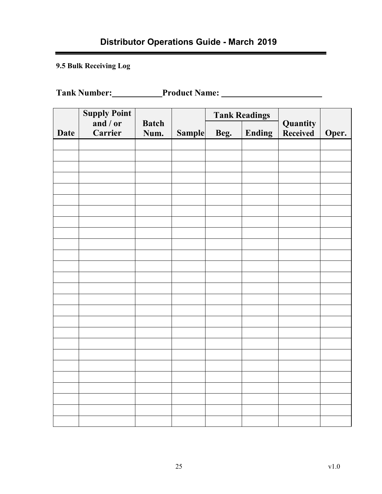# **Distributor Operations Guide - March 2019**

<span id="page-24-0"></span>**9.5 Bulk Receiving Log**

**Tank Number: Product Name:**

|             | <b>Supply Point</b> |                      |               | <b>Tank Readings</b> |        |                             |       |
|-------------|---------------------|----------------------|---------------|----------------------|--------|-----------------------------|-------|
| <b>Date</b> | and / or<br>Carrier | <b>Batch</b><br>Num. | <b>Sample</b> | Beg.                 | Ending | Quantity<br><b>Received</b> | Oper. |
|             |                     |                      |               |                      |        |                             |       |
|             |                     |                      |               |                      |        |                             |       |
|             |                     |                      |               |                      |        |                             |       |
|             |                     |                      |               |                      |        |                             |       |
|             |                     |                      |               |                      |        |                             |       |
|             |                     |                      |               |                      |        |                             |       |
|             |                     |                      |               |                      |        |                             |       |
|             |                     |                      |               |                      |        |                             |       |
|             |                     |                      |               |                      |        |                             |       |
|             |                     |                      |               |                      |        |                             |       |
|             |                     |                      |               |                      |        |                             |       |
|             |                     |                      |               |                      |        |                             |       |
|             |                     |                      |               |                      |        |                             |       |
|             |                     |                      |               |                      |        |                             |       |
|             |                     |                      |               |                      |        |                             |       |
|             |                     |                      |               |                      |        |                             |       |
|             |                     |                      |               |                      |        |                             |       |
|             |                     |                      |               |                      |        |                             |       |
|             |                     |                      |               |                      |        |                             |       |
|             |                     |                      |               |                      |        |                             |       |
|             |                     |                      |               |                      |        |                             |       |
|             |                     |                      |               |                      |        |                             |       |
|             |                     |                      |               |                      |        |                             |       |
|             |                     |                      |               |                      |        |                             |       |
|             |                     |                      |               |                      |        |                             |       |
|             |                     |                      |               |                      |        |                             |       |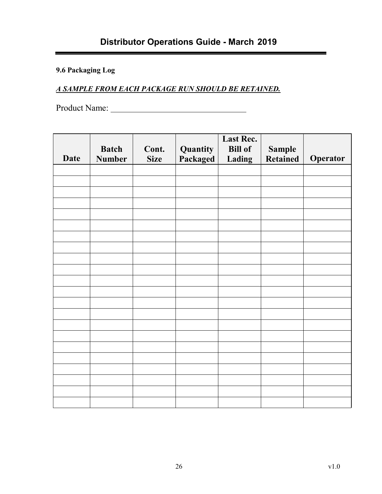# <span id="page-25-0"></span>**9.6 Packaging Log**

### *A SAMPLE FROM EACH PACKAGE RUN SHOULD BE RETAINED.*

Product Name:

| <b>Date</b> | <b>Batch</b><br><b>Number</b> | Cont.<br><b>Size</b> | Quantity<br>Packaged | Last Rec.<br><b>Bill of</b><br>Lading | <b>Sample</b><br><b>Retained</b> | Operator |
|-------------|-------------------------------|----------------------|----------------------|---------------------------------------|----------------------------------|----------|
|             |                               |                      |                      |                                       |                                  |          |
|             |                               |                      |                      |                                       |                                  |          |
|             |                               |                      |                      |                                       |                                  |          |
|             |                               |                      |                      |                                       |                                  |          |
|             |                               |                      |                      |                                       |                                  |          |
|             |                               |                      |                      |                                       |                                  |          |
|             |                               |                      |                      |                                       |                                  |          |
|             |                               |                      |                      |                                       |                                  |          |
|             |                               |                      |                      |                                       |                                  |          |
|             |                               |                      |                      |                                       |                                  |          |
|             |                               |                      |                      |                                       |                                  |          |
|             |                               |                      |                      |                                       |                                  |          |
|             |                               |                      |                      |                                       |                                  |          |
|             |                               |                      |                      |                                       |                                  |          |
|             |                               |                      |                      |                                       |                                  |          |
|             |                               |                      |                      |                                       |                                  |          |
|             |                               |                      |                      |                                       |                                  |          |
|             |                               |                      |                      |                                       |                                  |          |
|             |                               |                      |                      |                                       |                                  |          |
|             |                               |                      |                      |                                       |                                  |          |
|             |                               |                      |                      |                                       |                                  |          |
|             |                               |                      |                      |                                       |                                  |          |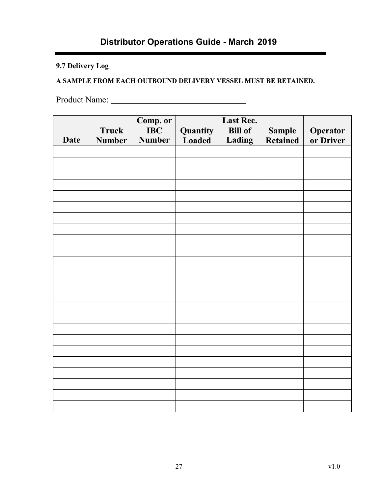# **Distributor Operations Guide - March 2019**

### <span id="page-26-0"></span>**9.7 Delivery Log**

### **A SAMPLE FROM EACH OUTBOUND DELIVERY VESSEL MUST BE RETAINED.**

Product Name:

| <b>Date</b> | <b>Truck</b><br><b>Number</b> | Comp. or<br><b>IBC</b><br><b>Number</b> | Quantity<br>Loaded | <b>Last Rec.</b><br><b>Bill of</b><br>Lading | <b>Sample</b><br><b>Retained</b> | Operator<br>or Driver |
|-------------|-------------------------------|-----------------------------------------|--------------------|----------------------------------------------|----------------------------------|-----------------------|
|             |                               |                                         |                    |                                              |                                  |                       |
|             |                               |                                         |                    |                                              |                                  |                       |
|             |                               |                                         |                    |                                              |                                  |                       |
|             |                               |                                         |                    |                                              |                                  |                       |
|             |                               |                                         |                    |                                              |                                  |                       |
|             |                               |                                         |                    |                                              |                                  |                       |
|             |                               |                                         |                    |                                              |                                  |                       |
|             |                               |                                         |                    |                                              |                                  |                       |
|             |                               |                                         |                    |                                              |                                  |                       |
|             |                               |                                         |                    |                                              |                                  |                       |
|             |                               |                                         |                    |                                              |                                  |                       |
|             |                               |                                         |                    |                                              |                                  |                       |
|             |                               |                                         |                    |                                              |                                  |                       |
|             |                               |                                         |                    |                                              |                                  |                       |
|             |                               |                                         |                    |                                              |                                  |                       |
|             |                               |                                         |                    |                                              |                                  |                       |
|             |                               |                                         |                    |                                              |                                  |                       |
|             |                               |                                         |                    |                                              |                                  |                       |
|             |                               |                                         |                    |                                              |                                  |                       |
|             |                               |                                         |                    |                                              |                                  |                       |
|             |                               |                                         |                    |                                              |                                  |                       |
|             |                               |                                         |                    |                                              |                                  |                       |
|             |                               |                                         |                    |                                              |                                  |                       |
|             |                               |                                         |                    |                                              |                                  |                       |